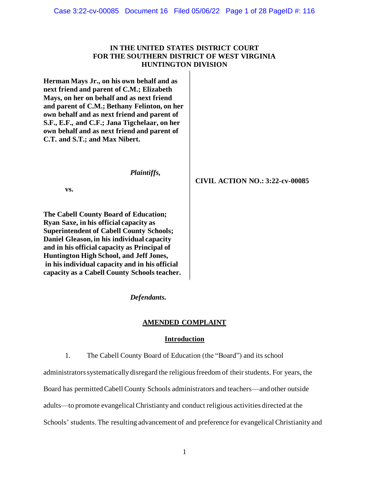## **IN THE UNITED STATES DISTRICT COURT FOR THE SOUTHERN DISTRICT OF WEST VIRGINIA HUNTINGTON DIVISION**

**Herman Mays Jr., on his own behalf and as next friend and parent of C.M.; Elizabeth Mays, on her on behalf and as next friend and parent of C.M.; Bethany Felinton, on her own behalf and as next friend and parent of S.F., E.F., and C.F.; Jana Tigchelaar, on her own behalf and as next friend and parent of C.T. and S.T.; and Max Nibert.**

*Plaintiffs,*

**vs.**

**The Cabell County Board of Education; Ryan Saxe, in his official capacity as Superintendent of Cabell County Schools; Daniel Gleason, in his individual capacity and in his official capacity as Principal of Huntington High School, and Jeff Jones, in his individual capacity and in his official capacity as a Cabell County Schools teacher.**  **CIVIL ACTION NO.: 3:22-cv-00085**

*Defendants.*

### **AMENDED COMPLAINT**

### **Introduction**

1. The Cabell County Board of Education (the "Board") and its school

administrators systematically disregard the religious freedom of their students. For years, the

Board has permitted Cabell County Schools administrators and teachers—and other outside

adults—to promote evangelical Christianty and conduct religious activities directed at the

Schools' students. The resulting advancement of and preference for evangelical Christianity and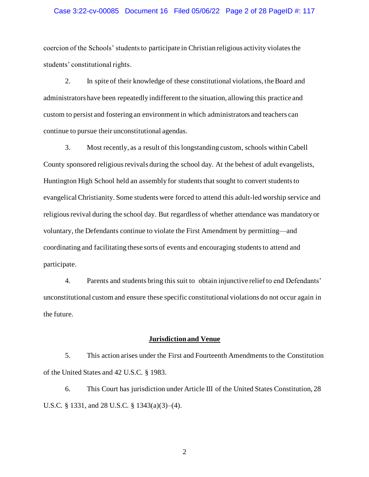### Case 3:22-cv-00085 Document 16 Filed 05/06/22 Page 2 of 28 PageID #: 117

coercion of the Schools' students to participate in Christian religious activity violates the students' constitutional rights.

2. In spite of their knowledge of these constitutional violations, the Board and administrators have been repeatedly indifferent to the situation, allowing this practice and custom to persist and fostering an environment in which administrators and teachers can continue to pursue their unconstitutional agendas.

3. Most recently, as a result of this longstanding custom, schools within Cabell County sponsored religious revivals during the school day. At the behest of adult evangelists, Huntington High School held an assembly for students that sought to convert students to evangelical Christianity. Some students were forced to attend this adult-led worship service and religious revival during the school day. But regardless of whether attendance was mandatory or voluntary, the Defendants continue to violate the First Amendment by permitting—and coordinating and facilitating these sorts of events and encouraging students to attend and participate.

4. Parents and students bring this suit to obtain injunctive relief to end Defendants' unconstitutional custom and ensure these specific constitutional violations do not occur again in the future.

### **Jurisdiction and Venue**

5. This action arises under the First and Fourteenth Amendments to the Constitution of the United States and 42 U.S.C. § 1983.

6. This Court has jurisdiction under Article III of the United States Constitution, 28 U.S.C. § 1331, and 28 U.S.C. § 1343(a)(3)–(4).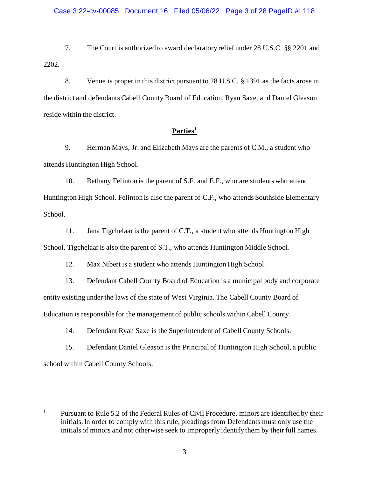7. The Court is authorized to award declaratory relief under 28 U.S.C. §§ 2201 and 2202.

8. Venue is proper in this district pursuant to 28 U.S.C. § 1391 as the facts arose in the district and defendantsCabell County Board of Education, Ryan Saxe, and Daniel Gleason reside within the district.

# **Parties<sup>1</sup>**

9. Herman Mays, Jr. and Elizabeth Mays are the parents of C.M., a student who attends Huntington High School.

10. Bethany Felinton is the parent of S.F. and E.F., who are students who attend Huntington High School. Felinton is also the parent of C.F., who attends Southside Elementary School.

11. Jana Tigchelaar is the parent of C.T., a student who attends Huntington High School. Tigchelaar is also the parent of S.T., who attends Huntington Middle School.

12. Max Nibert is a student who attends Huntington High School.

13. Defendant Cabell County Board of Education is a municipal body and corporate entity existing under the laws of the state of West Virginia. The Cabell County Board of Education is responsible for the management of public schools within Cabell County.

14. Defendant Ryan Saxe is the Superintendent of Cabell County Schools.

15. Defendant Daniel Gleason is the Principal of Huntington High School, a public school within Cabell County Schools.

<sup>&</sup>lt;sup>1</sup> Pursuant to Rule 5.2 of the Federal Rules of Civil Procedure, minors are identified by their initials. In order to comply with this rule, pleadings from Defendants must only use the initials of minors and not otherwise seek to improperly identify them by their full names.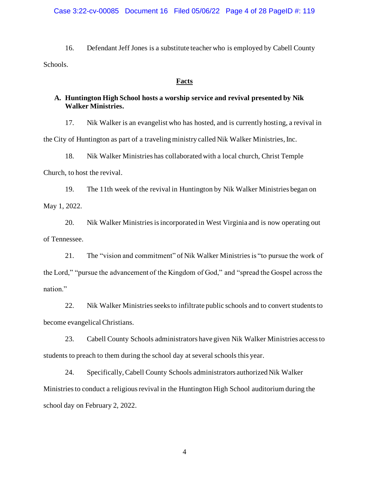### Case 3:22-cv-00085 Document 16 Filed 05/06/22 Page 4 of 28 PageID #: 119

16. Defendant Jeff Jones is a substitute teacher who is employed by Cabell County Schools.

### **Facts**

## **A. Huntington High School hosts a worship service and revival presented by Nik Walker Ministries.**

17. Nik Walker is an evangelist who has hosted, and is currently hosting, a revival in the City of Huntington as part of a traveling ministry called Nik Walker Ministries, Inc.

18. Nik Walker Ministries has collaborated with a local church, Christ Temple

Church, to host the revival.

19. The 11th week of the revival in Huntington by Nik Walker Ministries began on May 1, 2022.

20. Nik Walker Ministriesis incorporated in West Virginia and is now operating out of Tennessee.

21. The "vision and commitment" of Nik Walker Ministries is "to pursue the work of the Lord," "pursue the advancement of the Kingdom of God," and "spread the Gospel across the nation."

22. Nik Walker Ministries seeks to infiltrate public schools and to convert students to become evangelical Christians.

23. Cabell County Schools administrators have given Nik Walker Ministries access to students to preach to them during the school day at several schools this year.

24. Specifically, Cabell County Schools administrators authorized Nik Walker Ministries to conduct a religious revival in the Huntington High School auditorium during the school day on February 2, 2022.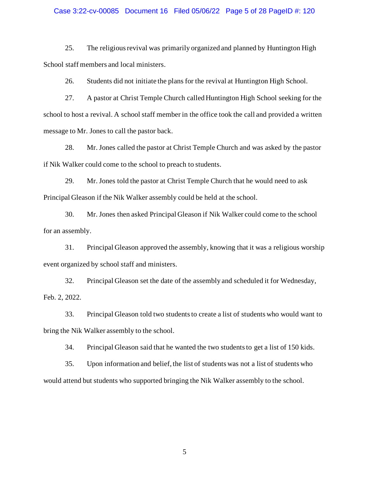#### Case 3:22-cv-00085 Document 16 Filed 05/06/22 Page 5 of 28 PageID #: 120

25. The religious revival was primarily organized and planned by Huntington High School staff members and local ministers.

26. Students did not initiate the plans for the revival at Huntington High School.

27. A pastor at Christ Temple Church called Huntington High School seeking for the school to host a revival. A school staff member in the office took the call and provided a written message to Mr. Jones to call the pastor back.

28. Mr. Jones called the pastor at Christ Temple Church and was asked by the pastor if Nik Walker could come to the school to preach to students.

29. Mr. Jones told the pastor at Christ Temple Church that he would need to ask Principal Gleason if the Nik Walker assembly could be held at the school.

30. Mr. Jones then asked Principal Gleason if Nik Walker could come to the school for an assembly.

31. Principal Gleason approved the assembly, knowing that it was a religious worship event organized by school staff and ministers.

32. Principal Gleason set the date of the assembly and scheduled it for Wednesday, Feb. 2, 2022.

33. Principal Gleason told two students to create a list of students who would want to bring the Nik Walker assembly to the school.

34. Principal Gleason said that he wanted the two students to get a list of 150 kids.

35. Upon information and belief, the list of students was not a list of students who would attend but students who supported bringing the Nik Walker assembly to the school.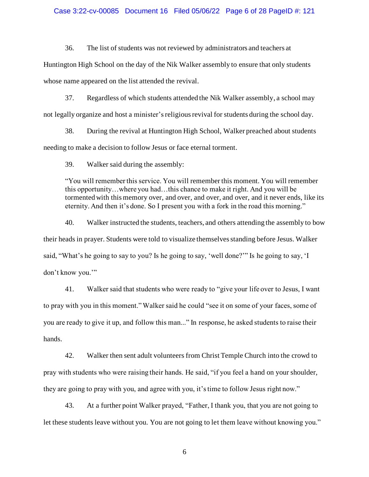### Case 3:22-cv-00085 Document 16 Filed 05/06/22 Page 6 of 28 PageID #: 121

36. The list of students was not reviewed by administrators and teachers at

Huntington High School on the day of the Nik Walker assembly to ensure that only students whose name appeared on the list attended the revival.

37. Regardless of which students attended the Nik Walker assembly, a school may not legally organize and host a minister's religious revival for students during the school day.

38. During the revival at Huntington High School, Walker preached about students needing to make a decision to follow Jesus or face eternal torment.

39. Walker said during the assembly:

"You will remember this service. You will remember this moment. You will remember this opportunity…where you had…this chance to make it right. And you will be tormented with this memory over, and over, and over, and over, and it never ends, like its eternity. And then it's done. So I present you with a fork in the road this morning."

40. Walker instructed the students, teachers, and others attending the assembly to bow their heads in prayer. Students were told to visualize themselves standing before Jesus. Walker said, "What's he going to say to you? Is he going to say, 'well done?'" Is he going to say, 'I don't know you."

41. Walker said that students who were ready to "give your life over to Jesus, I want to pray with you in this moment." Walker said he could "see it on some of your faces, some of you are ready to give it up, and follow this man..." In response, he asked students to raise their hands.

42. Walker then sent adult volunteers from Christ Temple Church into the crowd to pray with students who were raising their hands. He said, "if you feel a hand on your shoulder, they are going to pray with you, and agree with you, it's time to follow Jesus right now."

43. At a further point Walker prayed, "Father, I thank you, that you are not going to let these students leave without you. You are not going to let them leave without knowing you."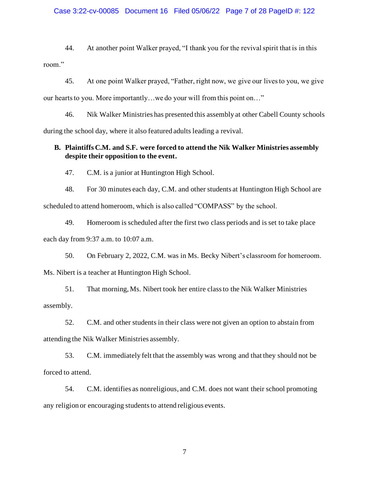### Case 3:22-cv-00085 Document 16 Filed 05/06/22 Page 7 of 28 PageID #: 122

44. At another point Walker prayed, "I thank you for the revival spirit that is in this room."

45. At one point Walker prayed, "Father, right now, we give our lives to you, we give our hearts to you. More importantly…we do your will from this point on…"

46. Nik Walker Ministries has presented this assembly at other Cabell County schools during the school day, where it also featured adults leading a revival.

## **B. Plaintiffs C.M. and S.F. were forced to attend the Nik Walker Ministries assembly despite their opposition to the event.**

47. C.M. is a junior at Huntington High School.

48. For 30 minutes each day, C.M. and other students at Huntington High School are scheduled to attend homeroom, which is also called "COMPASS" by the school.

49. Homeroom is scheduled after the first two class periods and is set to take place each day from 9:37 a.m. to 10:07 a.m.

50. On February 2, 2022, C.M. was in Ms. Becky Nibert's classroom for homeroom. Ms. Nibert is a teacher at Huntington High School.

51. That morning, Ms. Nibert took her entire class to the Nik Walker Ministries assembly.

52. C.M. and other students in their class were not given an option to abstain from attending the Nik Walker Ministries assembly.

53. C.M. immediately felt that the assembly was wrong and that they should not be forced to attend.

54. C.M. identifies as nonreligious, and C.M. does not want their school promoting any religion or encouraging students to attend religious events.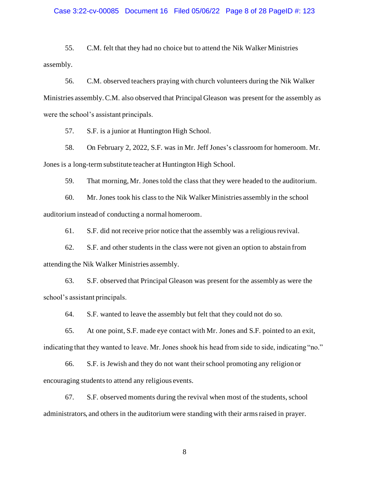### Case 3:22-cv-00085 Document 16 Filed 05/06/22 Page 8 of 28 PageID #: 123

55. C.M. felt that they had no choice but to attend the Nik Walker Ministries assembly.

56. C.M. observed teachers praying with church volunteers during the Nik Walker Ministries assembly. C.M. also observed that Principal Gleason was present for the assembly as were the school's assistant principals.

57. S.F. is a junior at Huntington High School.

58. On February 2, 2022, S.F. was in Mr. Jeff Jones's classroom for homeroom. Mr. Jones is a long-term substitute teacher at Huntington High School.

59. That morning, Mr. Jones told the class that they were headed to the auditorium.

60. Mr. Jones took his class to the Nik Walker Ministries assembly in the school auditorium instead of conducting a normal homeroom.

61. S.F. did not receive prior notice that the assembly was a religious revival.

62. S.F. and other students in the class were not given an option to abstain from attending the Nik Walker Ministries assembly.

63. S.F. observed that Principal Gleason was present for the assembly as were the school's assistant principals.

64. S.F. wanted to leave the assembly but felt that they could not do so.

65. At one point, S.F. made eye contact with Mr. Jones and S.F. pointed to an exit, indicating that they wanted to leave. Mr. Jones shook his head from side to side, indicating "no."

66. S.F. is Jewish and they do not want theirschool promoting any religion or encouraging students to attend any religious events.

67. S.F. observed moments during the revival when most of the students, school administrators, and others in the auditorium were standing with their arms raised in prayer.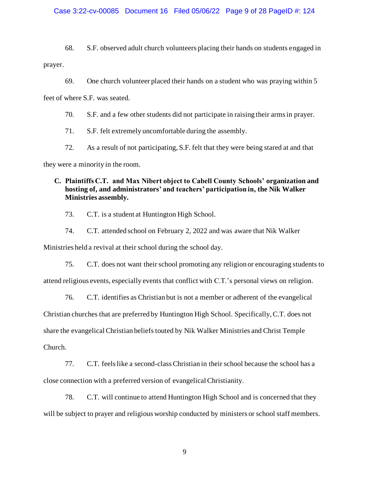### Case 3:22-cv-00085 Document 16 Filed 05/06/22 Page 9 of 28 PageID #: 124

68. S.F. observed adult church volunteers placing their hands on students engaged in prayer.

69. One church volunteer placed their hands on a student who was praying within 5

feet of where S.F. was seated.

70. S.F. and a few other students did not participate in raising their arms in prayer.

71. S.F. felt extremely uncomfortable during the assembly.

72. As a result of not participating, S.F. felt that they were being stared at and that

they were a minority in the room.

## **C. Plaintiffs C.T. and Max Nibert object to Cabell County Schools' organization and hosting of, and administrators' and teachers' participation in, the Nik Walker Ministries assembly.**

73. C.T. is a student at Huntington High School.

74. C.T. attended school on February 2, 2022 and was aware that Nik Walker

Ministries held a revival at their school during the school day.

75. C.T. does not want theirschool promoting any religion or encouraging students to attend religious events, especially events that conflict with C.T.'s personal views on religion.

76. C.T. identifies as Christian but is not a member or adherent of the evangelical Christian churches that are preferred by Huntington High School. Specifically, C.T. does not share the evangelical Christian beliefs touted by Nik Walker Ministries and Christ Temple Church.

77. C.T. feels like a second-class Christian in their school because the school has a close connection with a preferred version of evangelical Christianity.

78. C.T. will continue to attend Huntington High School and is concerned that they will be subject to prayer and religious worship conducted by ministers or school staff members.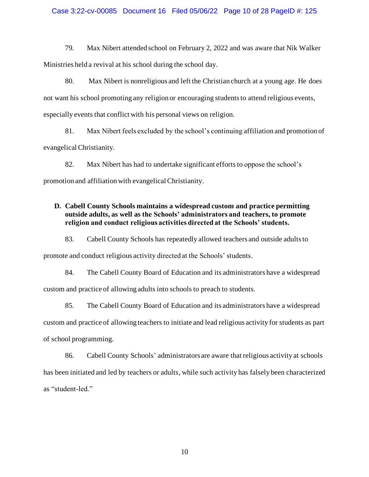### Case 3:22-cv-00085 Document 16 Filed 05/06/22 Page 10 of 28 PageID #: 125

79. Max Nibert attended school on February 2, 2022 and was aware that Nik Walker Ministries held a revival at his school during the school day.

80. Max Nibert is nonreligious and left the Christian church at a young age. He does not want his school promoting any religion or encouraging students to attend religious events, especially events that conflict with his personal views on religion.

81. Max Nibert feels excluded by the school's continuing affiliation and promotion of evangelical Christianity.

82. Max Nibert has had to undertake significant efforts to oppose the school's promotion and affiliation with evangelical Christianity.

## **D. Cabell County Schools maintains a widespread custom and practice permitting outside adults, as well as the Schools' administrators and teachers, to promote religion and conduct religious activities directed at the Schools' students.**

83. Cabell County Schools has repeatedly allowed teachers and outside adults to

promote and conduct religious activity directed at the Schools' students.

84. The Cabell County Board of Education and its administrators have a widespread custom and practice of allowing adults into schools to preach to students.

85. The Cabell County Board of Education and its administrators have a widespread custom and practice of allowing teachers to initiate and lead religious activity for students as part of school programming.

86. Cabell County Schools' administrators are aware that religious activity at schools has been initiated and led by teachers or adults, while such activity has falsely been characterized as "student-led."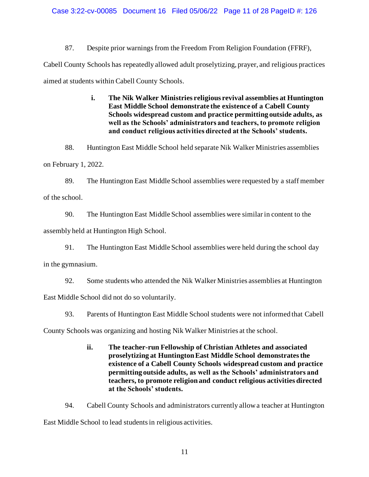87. Despite prior warnings from the Freedom From Religion Foundation (FFRF),

Cabell County Schools has repeatedly allowed adult proselytizing, prayer, and religious practices aimed at students within Cabell County Schools.

> **i. The Nik Walker Ministries religious revival assemblies at Huntington East Middle School demonstrate the existence of a Cabell County Schools widespread custom and practice permitting outside adults, as well as the Schools' administrators and teachers, to promote religion and conduct religious activities directed at the Schools' students.**

88. Huntington East Middle School held separate Nik Walker Ministries assemblies

on February 1, 2022.

89. The Huntington East Middle School assemblies were requested by a staff member of the school.

90. The Huntington East Middle School assemblies were similar in content to the

assembly held at Huntington High School.

91. The Huntington East Middle School assemblies were held during the school day

in the gymnasium.

92. Some students who attended the Nik Walker Ministries assemblies at Huntington

East Middle School did not do so voluntarily.

93. Parents of Huntington East Middle School students were not informed that Cabell

County Schools was organizing and hosting Nik Walker Ministries at the school.

**ii. The teacher-run Fellowship of Christian Athletes and associated proselytizing at Huntington East Middle School demonstrates the existence of a Cabell County Schools widespread custom and practice permitting outside adults, as well as the Schools' administrators and teachers, to promote religion and conduct religious activities directed at the Schools' students.**

94. Cabell County Schools and administrators currently allowa teacher at Huntington East Middle School to lead students in religious activities.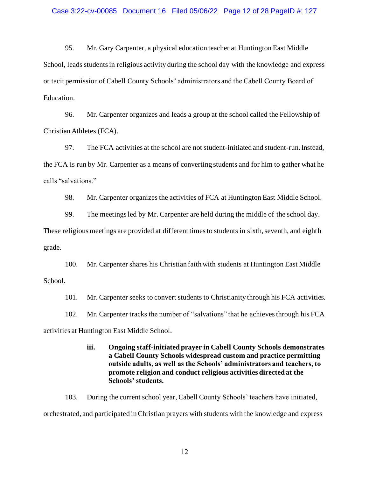95. Mr. Gary Carpenter, a physical education teacher at Huntington East Middle School, leads students in religious activity during the school day with the knowledge and express or tacit permission of Cabell County Schools' administrators and the Cabell County Board of Education.

96. Mr. Carpenter organizes and leads a group at the school called the Fellowship of Christian Athletes (FCA).

97. The FCA activities at the school are not student-initiated and student-run.Instead, the FCA is run by Mr. Carpenter as a means of converting students and for him to gather what he calls "salvations."

98. Mr. Carpenter organizes the activities of FCA at Huntington East Middle School.

99. The meetings led by Mr. Carpenter are held during the middle of the school day.

These religious meetings are provided at different times to students in sixth, seventh, and eighth grade.

100. Mr. Carpenter shares his Christian faith with students at Huntington East Middle School.

101. Mr. Carpenter seeks to convert students to Christianity through his FCA activities.

102. Mr. Carpenter tracks the number of "salvations" that he achieves through his FCA

activities at Huntington East Middle School.

**iii. Ongoing staff-initiated prayer in Cabell County Schools demonstrates a Cabell County Schools widespread custom and practice permitting outside adults, as well as the Schools' administrators and teachers, to promote religion and conduct religious activities directed at the Schools' students.**

103. During the current school year, Cabell County Schools' teachers have initiated, orchestrated, and participated in Christian prayers with students with the knowledge and express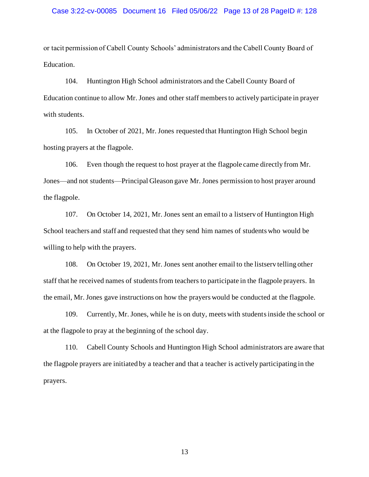### Case 3:22-cv-00085 Document 16 Filed 05/06/22 Page 13 of 28 PageID #: 128

or tacit permission of Cabell County Schools' administrators and the Cabell County Board of Education.

104. Huntington High School administrators and the Cabell County Board of Education continue to allow Mr. Jones and other staff members to actively participate in prayer with students.

105. In October of 2021, Mr. Jones requested that Huntington High School begin hosting prayers at the flagpole.

106. Even though the request to host prayer at the flagpole came directly from Mr. Jones—and not students—Principal Gleason gave Mr. Jones permission to host prayer around the flagpole.

107. On October 14, 2021, Mr. Jones sent an email to a listserv of Huntington High School teachers and staff and requested that they send him names of students who would be willing to help with the prayers.

108. On October 19, 2021, Mr. Jones sent another email to the listserv telling other staff that he received names of students from teachers to participate in the flagpole prayers. In the email, Mr. Jones gave instructions on how the prayers would be conducted at the flagpole.

109. Currently, Mr. Jones, while he is on duty, meets with students inside the school or at the flagpole to pray at the beginning of the school day.

110. Cabell County Schools and Huntington High School administrators are aware that the flagpole prayers are initiated by a teacher and that a teacher is actively participating in the prayers.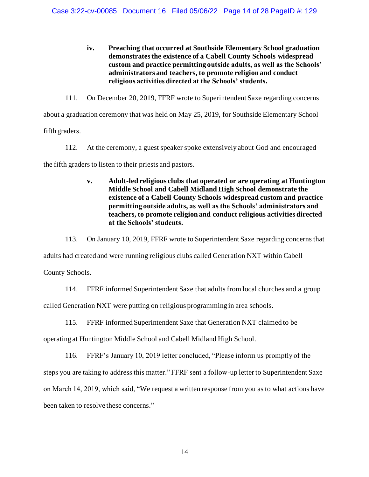**iv. Preaching that occurred at Southside Elementary School graduation demonstrates the existence of a Cabell County Schools widespread custom and practice permitting outside adults, as well as the Schools' administrators and teachers, to promote religion and conduct religious activities directed at the Schools' students.**

111. On December 20, 2019, FFRF wrote to Superintendent Saxe regarding concerns about a graduation ceremony that was held on May 25, 2019, for Southside Elementary School

fifth graders.

112. At the ceremony, a guest speaker spoke extensively about God and encouraged

the fifth graders to listen to their priests and pastors.

**v. Adult-led religious clubs that operated or are operating at Huntington Middle School and Cabell Midland High School demonstrate the existence of a Cabell County Schools widespread custom and practice permitting outside adults, as well as the Schools' administrators and teachers, to promote religion and conduct religious activities directed at the Schools' students.**

113. On January 10, 2019, FFRF wrote to Superintendent Saxe regarding concerns that

adults had created and were running religious clubs called Generation NXT within Cabell

County Schools.

114. FFRF informed Superintendent Saxe that adults from local churches and a group

called Generation NXT were putting on religious programming in area schools.

115. FFRF informed Superintendent Saxe that Generation NXT claimed to be

operating at Huntington Middle School and Cabell Midland High School.

116. FFRF's January 10, 2019 letter concluded, "Please inform us promptly of the steps you are taking to address this matter." FFRF sent a follow-up letter to Superintendent Saxe on March 14, 2019, which said, "We request a written response from you as to what actions have been taken to resolve these concerns."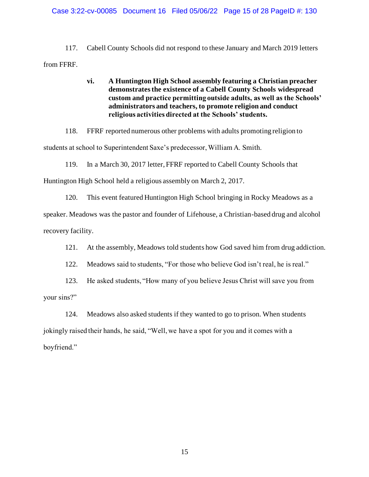### Case 3:22-cv-00085 Document 16 Filed 05/06/22 Page 15 of 28 PageID #: 130

117. Cabell County Schools did not respond to these January and March 2019 letters from FFRF.

## **vi. A Huntington High School assembly featuring a Christian preacher demonstratesthe existence of a Cabell County Schools widespread custom and practice permitting outside adults, as well as the Schools' administrators and teachers, to promote religion and conduct religious activities directed at the Schools' students.**

118. FFRF reported numerous other problems with adults promoting religion to students at school to Superintendent Saxe's predecessor, William A. Smith.

119. In a March 30, 2017 letter, FFRF reported to Cabell County Schools that Huntington High School held a religious assembly on March 2, 2017.

120. This event featured Huntington High School bringing in Rocky Meadows as a speaker. Meadows was the pastor and founder of Lifehouse, a Christian-based drug and alcohol recovery facility.

121. At the assembly, Meadows told students how God saved him from drug addiction.

122. Meadows said to students, "For those who believe God isn't real, he is real."

123. He asked students, "How many of you believe Jesus Christ will save you from your sins?"

124. Meadows also asked students if they wanted to go to prison. When students jokingly raised their hands, he said, "Well, we have a spot for you and it comes with a boyfriend."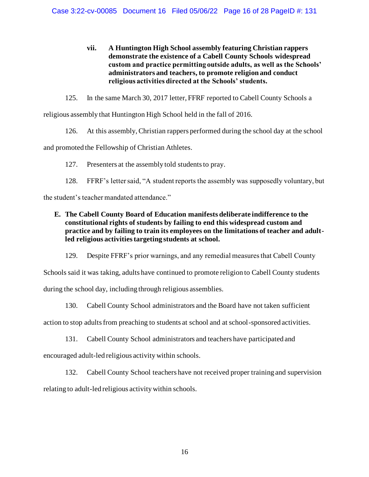- **vii. A Huntington High School assembly featuring Christian rappers demonstrate the existence of a Cabell County Schools widespread custom and practice permitting outside adults, as well as the Schools' administrators and teachers, to promote religion and conduct religious activities directed at the Schools' students.**
- 125. In the same March 30, 2017 letter, FFRF reported to Cabell County Schools a

religious assembly that Huntington High School held in the fall of 2016.

126. At this assembly, Christian rappers performed during the school day at the school

and promoted the Fellowship of Christian Athletes.

127. Presenters at the assembly told students to pray.

128. FFRF's letter said, "A student reports the assembly was supposedly voluntary, but

the student's teacher mandated attendance."

**E. The Cabell County Board of Education manifests deliberate indifference to the constitutional rights of students by failing to end this widespread custom and practice and by failing to train its employees on the limitations of teacher and adultled religious activities targeting students at school.** 

129. Despite FFRF's prior warnings, and any remedial measures that Cabell County

Schools said it was taking, adults have continued to promote religion to Cabell County students during the school day, including through religious assemblies.

130. Cabell County School administrators and the Board have not taken sufficient

action to stop adults from preaching to students at school and at school-sponsored activities.

131. Cabell County School administrators and teachers have participated and

encouraged adult-led religious activity within schools.

132. Cabell County School teachers have not received proper training and supervision

relating to adult-led religious activity within schools.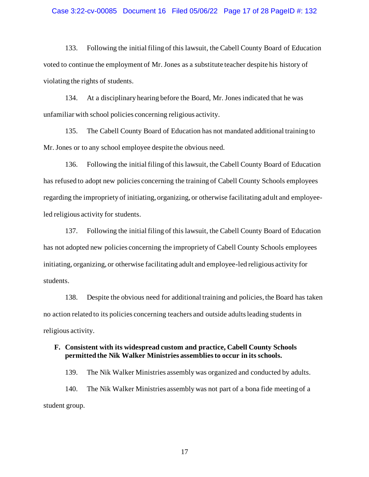### Case 3:22-cv-00085 Document 16 Filed 05/06/22 Page 17 of 28 PageID #: 132

133. Following the initial filing of this lawsuit, the Cabell County Board of Education voted to continue the employment of Mr. Jones as a substitute teacher despite his history of violating the rights of students.

134. At a disciplinary hearing before the Board, Mr. Jones indicated that he was unfamiliar with school policies concerning religious activity.

135. The Cabell County Board of Education has not mandated additional training to Mr. Jones or to any school employee despite the obvious need.

136. Following the initial filing of this lawsuit, the Cabell County Board of Education has refused to adopt new policies concerning the training of Cabell County Schools employees regarding the impropriety of initiating, organizing, or otherwise facilitating adult and employeeled religious activity for students.

137. Following the initial filing of this lawsuit, the Cabell County Board of Education has not adopted new policies concerning the impropriety of Cabell County Schools employees initiating, organizing, or otherwise facilitating adult and employee-led religious activity for students.

138. Despite the obvious need for additional training and policies, the Board has taken no action related to its policies concerning teachers and outside adults leading students in religious activity.

## **F. Consistent with its widespread custom and practice, Cabell County Schools permitted the Nik Walker Ministries assemblies to occur in its schools.**

139. The Nik Walker Ministries assembly was organized and conducted by adults. 140. The Nik Walker Ministries assembly was not part of a bona fide meeting of a student group.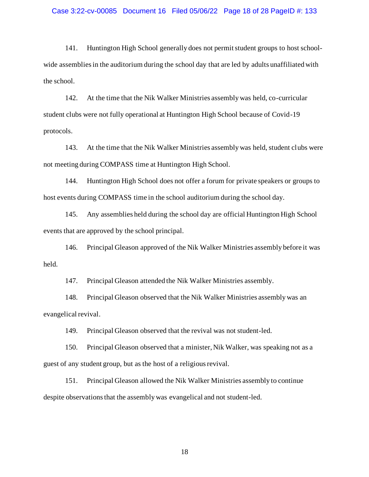### Case 3:22-cv-00085 Document 16 Filed 05/06/22 Page 18 of 28 PageID #: 133

141. Huntington High School generally does not permit student groups to host schoolwide assemblies in the auditorium during the school day that are led by adults unaffiliated with the school.

142. At the time that the Nik Walker Ministries assembly was held, co-curricular student clubs were not fully operational at Huntington High School because of Covid-19 protocols.

143. At the time that the Nik Walker Ministries assembly was held, student clubs were not meeting during COMPASS time at Huntington High School.

144. Huntington High School does not offer a forum for private speakers or groups to host events during COMPASS time in the school auditorium during the school day.

145. Any assemblies held during the school day are official Huntington High School events that are approved by the school principal.

146. Principal Gleason approved of the Nik Walker Ministries assembly before it was held.

147. Principal Gleason attended the Nik Walker Ministries assembly.

148. Principal Gleason observed that the Nik Walker Ministries assembly was an evangelical revival.

149. Principal Gleason observed that the revival was not student-led.

150. Principal Gleason observed that a minister, Nik Walker, was speaking not as a guest of any student group, but as the host of a religious revival.

151. Principal Gleason allowed the Nik Walker Ministries assembly to continue despite observations that the assembly was evangelical and not student-led.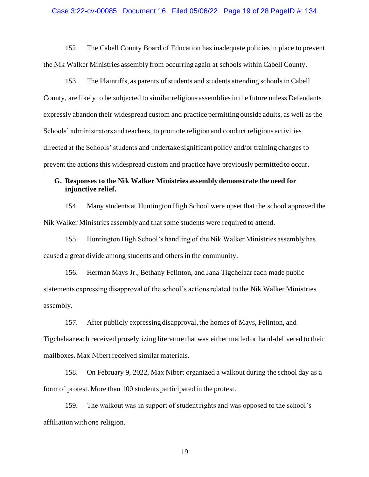#### Case 3:22-cv-00085 Document 16 Filed 05/06/22 Page 19 of 28 PageID #: 134

152. The Cabell County Board of Education has inadequate policies in place to prevent the Nik Walker Ministries assembly from occurring again at schools within Cabell County.

153. The Plaintiffs, as parents of students and students attending schools in Cabell County, are likely to be subjected to similar religious assemblies in the future unless Defendants expressly abandon their widespread custom and practice permitting outside adults, as well as the Schools' administrators and teachers, to promote religion and conduct religious activities directed at the Schools' students and undertake significant policy and/or training changes to prevent the actions this widespread custom and practice have previously permitted to occur.

## **G. Responses to the Nik Walker Ministries assembly demonstrate the need for injunctive relief.**

154. Many students at Huntington High School were upset that the school approved the Nik Walker Ministries assembly and that some students were required to attend.

155. Huntington High School's handling of the Nik Walker Ministries assembly has caused a great divide among students and others in the community.

156. Herman Mays Jr., Bethany Felinton, and Jana Tigchelaar each made public statements expressing disapproval of the school's actions related to the Nik Walker Ministries assembly.

157. After publicly expressing disapproval, the homes of Mays, Felinton, and Tigchelaar each received proselytizing literature that was either mailed or hand-delivered to their mailboxes. Max Nibert received similar materials.

158. On February 9, 2022, Max Nibert organized a walkout during the school day as a form of protest. More than 100 students participated in the protest.

159. The walkout was in support of student rights and was opposed to the school's affiliation with one religion.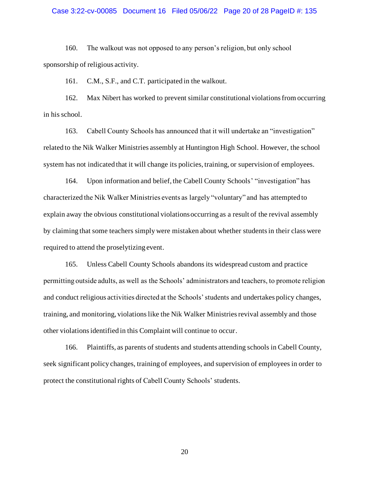### Case 3:22-cv-00085 Document 16 Filed 05/06/22 Page 20 of 28 PageID #: 135

160. The walkout was not opposed to any person's religion, but only school sponsorship of religious activity.

161. C.M., S.F., and C.T. participated in the walkout.

162. Max Nibert has worked to prevent similar constitutional violations from occurring in his school.

163. Cabell County Schools has announced that it will undertake an "investigation" related to the Nik Walker Ministries assembly at Huntington High School. However, the school system has not indicated that it will change its policies, training, or supervision of employees.

164. Upon information and belief, the Cabell County Schools' "investigation" has characterized the Nik Walker Ministries events as largely "voluntary" and has attempted to explain away the obvious constitutional violations occurring as a result of the revival assembly by claiming that some teachers simply were mistaken about whether students in their class were required to attend the proselytizing event.

165. Unless Cabell County Schools abandons its widespread custom and practice permitting outside adults, as well as the Schools' administrators and teachers, to promote religion and conduct religious activities directed at the Schools' students and undertakes policy changes, training, and monitoring, violations like the Nik Walker Ministries revival assembly and those other violations identified in this Complaint will continue to occur.

166. Plaintiffs, as parents of students and students attending schools in Cabell County, seek significant policy changes, training of employees, and supervision of employees in order to protect the constitutional rights of Cabell County Schools' students.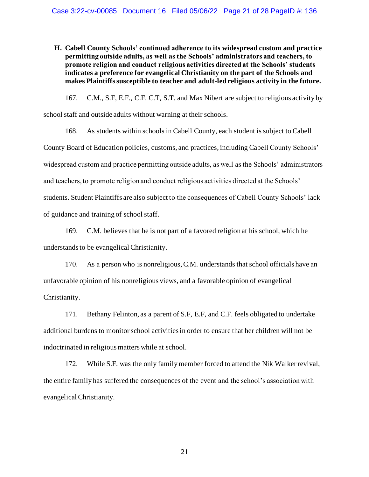**H. Cabell County Schools' continued adherence to its widespread custom and practice permitting outside adults, as well as the Schools' administrators and teachers, to promote religion and conduct religious activities directed at the Schools' students indicates a preference for evangelical Christianity on the part of the Schools and makes Plaintiffs susceptible to teacher and adult-led religious activity in the future.** 

167. C.M., S.F, E.F., C.F. C.T, S.T. and Max Nibert are subject to religious activity by school staff and outside adults without warning at their schools.

168. As students within schools in Cabell County, each student is subject to Cabell County Board of Education policies, customs, and practices, including Cabell County Schools' widespread custom and practice permitting outside adults, as well as the Schools' administrators and teachers, to promote religion and conduct religious activities directed at the Schools' students. Student Plaintiffs are also subject to the consequences of Cabell County Schools' lack of guidance and training of school staff.

169. C.M. believes that he is not part of a favored religion at his school, which he understands to be evangelical Christianity.

170. As a person who is nonreligious, C.M. understands that school officials have an unfavorable opinion of his nonreligious views, and a favorable opinion of evangelical Christianity.

171. Bethany Felinton, as a parent of S.F, E.F, and C.F. feels obligated to undertake additional burdens to monitor school activities in order to ensure that her children will not be indoctrinated in religious matters while at school.

172. While S.F. was the only family member forced to attend the Nik Walker revival, the entire family has suffered the consequences of the event and the school's association with evangelical Christianity.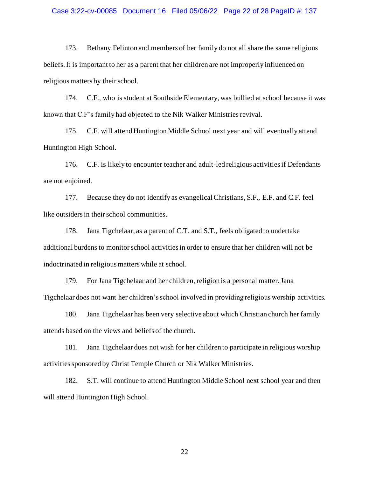### Case 3:22-cv-00085 Document 16 Filed 05/06/22 Page 22 of 28 PageID #: 137

173. Bethany Felinton and members of her family do not all share the same religious beliefs. It is important to her as a parent that her children are not improperly influenced on religious matters by their school.

174. C.F., who is student at Southside Elementary, was bullied at school because it was known that C.F's family had objected to the Nik Walker Ministries revival.

175. C.F. will attend Huntington Middle School next year and will eventually attend Huntington High School.

176. C.F. is likely to encounter teacher and adult-led religious activities if Defendants are not enjoined.

177. Because they do not identify as evangelical Christians, S.F., E.F. and C.F. feel like outsiders in their school communities.

178. Jana Tigchelaar, as a parent of C.T. and S.T., feels obligated to undertake additional burdens to monitor school activities in order to ensure that her children will not be indoctrinated in religious matters while at school.

179. For Jana Tigchelaar and her children, religion is a personal matter. Jana Tigchelaar does not want her children's school involved in providing religious worship activities.

180. Jana Tigchelaar has been very selective about which Christian church her family attends based on the views and beliefs of the church.

181. Jana Tigchelaar does not wish for her children to participate in religious worship activities sponsored by Christ Temple Church or Nik Walker Ministries.

182. S.T. will continue to attend Huntington Middle School next school year and then will attend Huntington High School.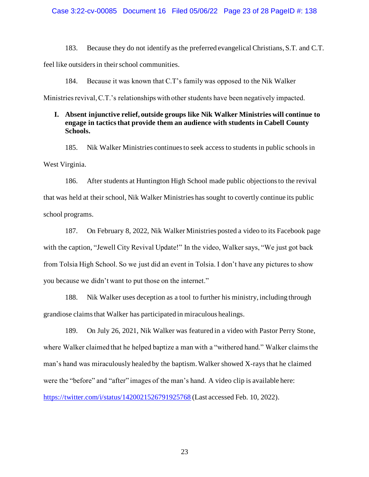183. Because they do not identify as the preferred evangelical Christians, S.T. and C.T.

feel like outsiders in their school communities.

184. Because it was known that C.T's family was opposed to the Nik Walker

Ministries revival, C.T.'s relationships with other students have been negatively impacted.

## **I. Absent injunctive relief, outside groups like Nik Walker Ministries will continue to engage in tactics that provide them an audience with students in Cabell County Schools.**

185. Nik Walker Ministries continues to seek access to students in public schools in West Virginia.

186. After students at Huntington High School made public objections to the revival that was held at their school, Nik Walker Ministries has sought to covertly continue its public school programs.

187. On February 8, 2022, Nik Walker Ministries posted a video to its Facebook page with the caption, "Jewell City Revival Update!" In the video, Walker says, "We just got back from Tolsia High School. So we just did an event in Tolsia. I don't have any pictures to show you because we didn't want to put those on the internet."

188. Nik Walker uses deception as a tool to further his ministry, including through grandiose claims that Walker has participated in miraculous healings.

189. On July 26, 2021, Nik Walker was featured in a video with Pastor Perry Stone, where Walker claimed that he helped baptize a man with a "withered hand." Walker claims the man's hand was miraculously healed by the baptism. Walker showed X-rays that he claimed were the "before" and "after" images of the man's hand. A video clip is available here: <https://twitter.com/i/status/1420021526791925768> (Last accessed Feb. 10, 2022).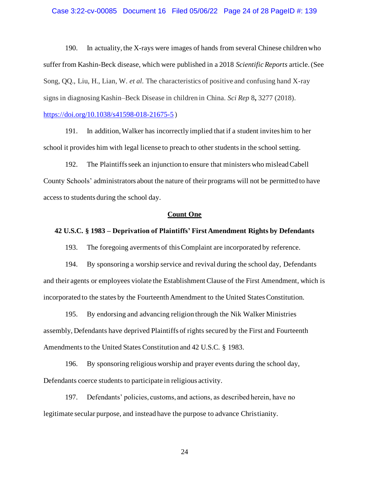### Case 3:22-cv-00085 Document 16 Filed 05/06/22 Page 24 of 28 PageID #: 139

190. In actuality, the X-rays were images of hands from several Chinese children who suffer from Kashin-Beck disease, which were published in a 2018 *Scientific Reports* article. (See Song, QQ., Liu, H., Lian, W. *et al.* The characteristics of positive and confusing hand X-ray signs in diagnosing Kashin–Beck Disease in children in China. *Sci Rep* 8**,** 3277 (2018).

### <https://doi.org/10.1038/s41598-018-21675-5> )

191. In addition, Walker has incorrectly implied that if a student invites him to her school it provides him with legal license to preach to other studentsin the school setting.

192. The Plaintiffs seek an injunction to ensure that ministers who mislead Cabell County Schools' administrators about the nature of their programs will not be permitted to have access to students during the school day.

#### **Count One**

### **42 U.S.C. § 1983 – Deprivation of Plaintiffs' First Amendment Rights by Defendants**

193. The foregoing averments of this Complaint are incorporated by reference.

194. By sponsoring a worship service and revival during the school day, Defendants and their agents or employees violate the Establishment Clause of the First Amendment, which is incorporated to the states by the Fourteenth Amendment to the United States Constitution.

195. By endorsing and advancing religion through the Nik Walker Ministries assembly, Defendants have deprived Plaintiffs of rights secured by the First and Fourteenth Amendments to the United States Constitution and 42 U.S.C. § 1983.

196. By sponsoring religious worship and prayer events during the school day, Defendants coerce students to participate in religious activity.

197. Defendants' policies, customs, and actions, as described herein, have no legitimate secular purpose, and instead have the purpose to advance Christianity.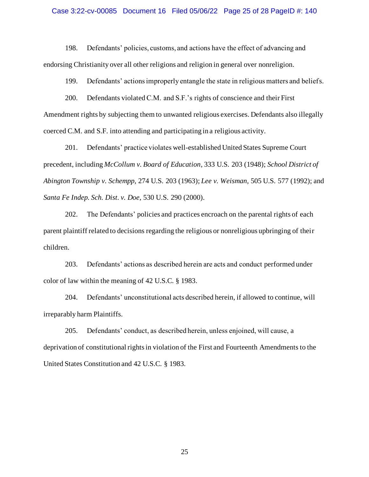#### Case 3:22-cv-00085 Document 16 Filed 05/06/22 Page 25 of 28 PageID #: 140

198. Defendants' policies, customs, and actions have the effect of advancing and endorsing Christianity over all other religions and religion in general over nonreligion.

199. Defendants' actions improperly entangle the state in religious matters and beliefs.

200. Defendants violated C.M. and S.F.'s rights of conscience and their First Amendment rights by subjecting them to unwanted religious exercises. Defendants also illegally coerced C.M. and S.F. into attending and participating in a religious activity.

201. Defendants' practice violates well-established United States Supreme Court precedent, including *McCollum v. Board of Education*, 333 U.S. 203 (1948); *School District of Abington Township v. Schempp,* 274 U.S. 203 (1963); *Lee v. Weisman,* 505 U.S. 577 (1992); and *Santa Fe Indep. Sch. Dist. v. Doe,* 530 U.S. 290 (2000).

202. The Defendants' policies and practices encroach on the parental rights of each parent plaintiff related to decisions regarding the religious or nonreligious upbringing of their children.

203. Defendants' actions as described herein are acts and conduct performed under color of law within the meaning of 42 U.S.C. § 1983.

204. Defendants' unconstitutional acts described herein, if allowed to continue, will irreparably harm Plaintiffs.

205. Defendants' conduct, as described herein, unless enjoined, will cause, a deprivation of constitutional rights in violation of the First and Fourteenth Amendments to the United States Constitution and 42 U.S.C. § 1983.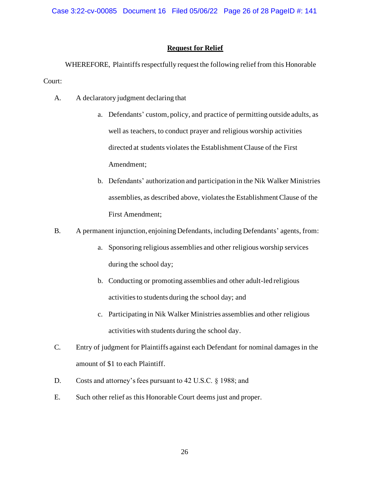## **Request for Relief**

WHEREFORE, Plaintiffs respectfully request the following relief from this Honorable Court:

- A. A declaratory judgment declaring that
	- a. Defendants' custom, policy, and practice of permitting outside adults, as well as teachers, to conduct prayer and religious worship activities directed at students violates the Establishment Clause of the First Amendment;
	- b. Defendants' authorization and participation in the Nik Walker Ministries assemblies, as described above, violates the Establishment Clause of the First Amendment;
- B. A permanent injunction, enjoining Defendants, including Defendants' agents, from:
	- a. Sponsoring religious assemblies and other religious worship services during the school day;
	- b. Conducting or promoting assemblies and other adult-led religious activities to students during the school day; and
	- c. Participating in Nik Walker Ministries assemblies and other religious activities with students during the school day.
- C. Entry of judgment for Plaintiffs against each Defendant for nominal damagesin the amount of \$1 to each Plaintiff.
- D. Costs and attorney's fees pursuant to 42 U.S.C. § 1988; and
- E. Such other relief as this Honorable Court deems just and proper.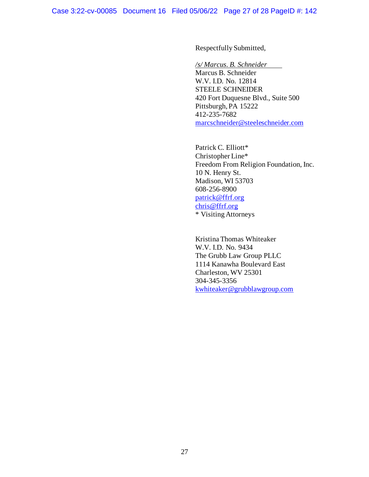Respectfully Submitted,

### */s/ Marcus. B. Schneider*

Marcus B. Schneider W.V. I.D. No. 12814 STEELE SCHNEIDER 420 Fort Duquesne Blvd., Suite 500 Pittsburgh, PA 15222 412-235-7682 [marcschneider@steeleschneider.com](mailto:marcschneider@steeleschneider.com)

Patrick C. Elliott\* Christopher Line\* Freedom From Religion Foundation, Inc. 10 N. Henry St. Madison, WI 53703 608-256-8900 [patrick@ffrf.org](mailto:patrick@ffrf.org) [chris@ffrf.org](mailto:chris@ffrf.org) \* Visiting Attorneys

Kristina Thomas Whiteaker W.V. I.D. No. 9434 The Grubb Law Group PLLC 1114 Kanawha Boulevard East Charleston, WV 25301 304-345-3356 [kwhiteaker@grubblawgroup.com](mailto:kwhiteaker@grubblawgroup.com)